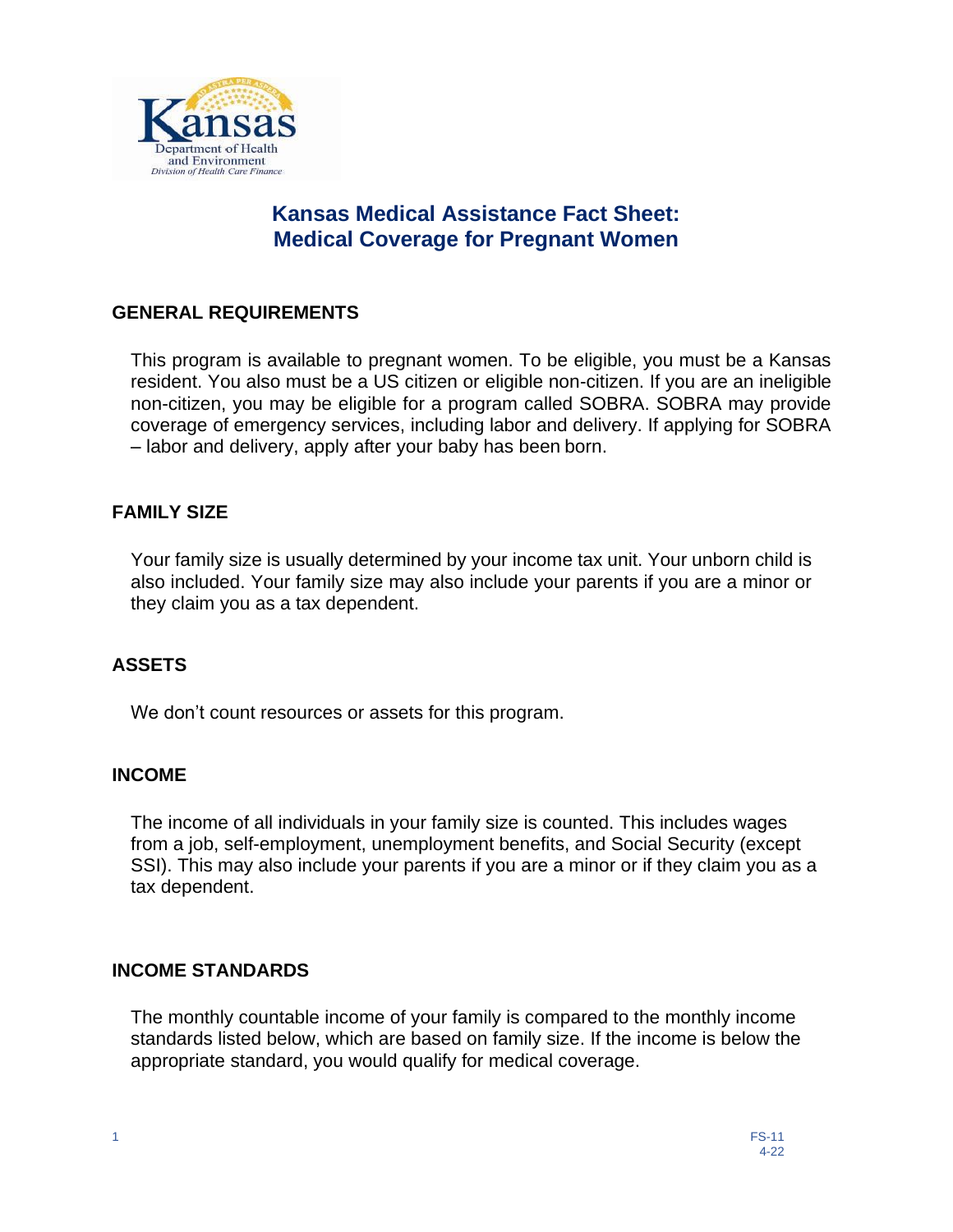

# **Kansas Medical Assistance Fact Sheet: Medical Coverage for Pregnant Women**

#### **GENERAL REQUIREMENTS**

This program is available to pregnant women. To be eligible, you must be a Kansas resident. You also must be a US citizen or eligible non-citizen. If you are an ineligible non-citizen, you may be eligible for a program called SOBRA. SOBRA may provide coverage of emergency services, including labor and delivery. If applying for SOBRA – labor and delivery, apply after your baby has been born.

#### **FAMILY SIZE**

Your family size is usually determined by your income tax unit. Your unborn child is also included. Your family size may also include your parents if you are a minor or they claim you as a tax dependent.

## **ASSETS**

We don't count resources or assets for this program.

#### **INCOME**

The income of all individuals in your family size is counted. This includes wages from a job, self-employment, unemployment benefits, and Social Security (except SSI). This may also include your parents if you are a minor or if they claim you as a tax dependent.

#### **INCOME STANDARDS**

The monthly countable income of your family is compared to the monthly income standards listed below, which are based on family size. If the income is below the appropriate standard, you would qualify for medical coverage.